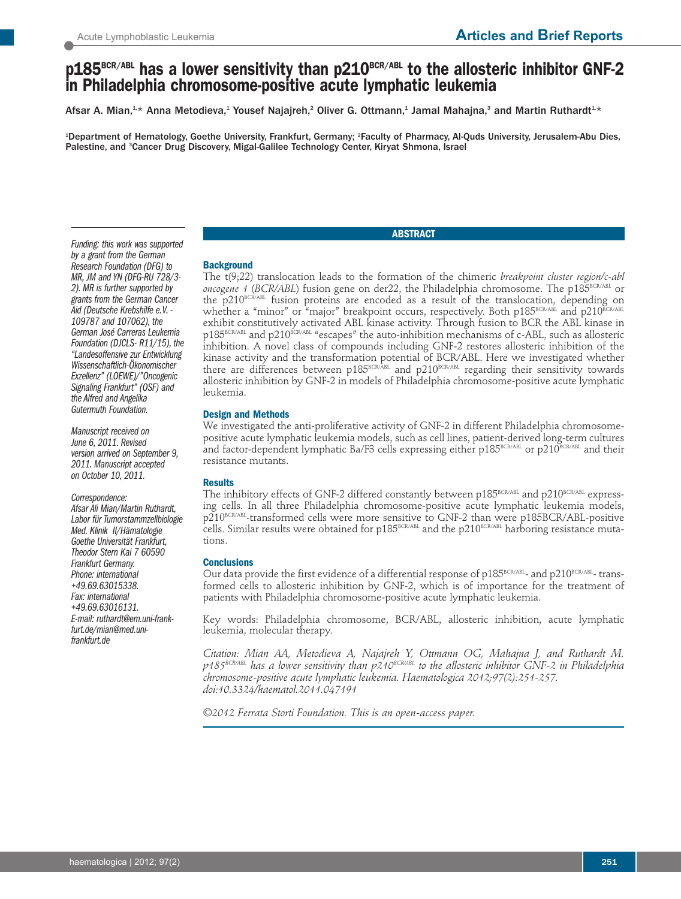# **p185BCR/ABL has a lower sensitivity than p210BCR/ABL to the allosteric inhibitor GNF-2 in Philadelphia chromosome-positive acute lymphatic leukemia**

Afsar A. Mian, $^{1,\star}$  Anna Metodieva, $^1$  Yousef Najajreh, $^2$  Oliver G. Ottmann, $^4$  Jamal Mahajna, $^3$  and Martin Ruthardt $^{1,\star}$ 

1 Department of Hematology, Goethe University, Frankfurt, Germany; <sup>2</sup> Faculty of Pharmacy, Al-Quds University, Jerusalem-Abu Dies, Palestine, and <sup>3</sup>Cancer Drug Discovery, Migal-Galilee Technology Center, Kiryat Shmona, Israel

## *Funding: this work was supported by a grant from the German Research Foundation (DFG) to MR, JM andYN (DFG-RU 728/3- 2). MR is further supported by grants from the German Cancer Aid (Deutsche Krebshilfe e.V. - <sup>109787</sup> and 107062), the German José Carreras Leukemia Foundation (DJCLS- R11/15), the "Landesoffensive zur Entwicklung Wissenschaftlich-Ökonomischer Exzellenz" (LOEWE)/"Oncogenic Signaling Frankfurt" (OSF) and the Alfred and Angelika Gutermuth Foundation.*

*Manuscript received on June 6, 2011. Revised version arrived on September 9, 2011. Manuscript accepted on October 10, 2011.*

*Correspondence: Afsar Ali Mian/Martin Ruthardt, Labor fürTumorstammzellbiologie Med. Klinik II/Hämatologie Goethe Universität Frankfurt, Theodor Stern Kai 7 60590 Frankfurt Germany. Phone: international +49.69.63015338. Fax: international +49.69.63016131. E-mail: ruthardt@em.uni-frankfurt.de/mian@med.unifrankfurt.de*

## **Background**

The t(9;22) translocation leads to the formation of the chimeric *breakpoint cluster region/c-abl oncogene 1* (BCR/ABL) fusion gene on der22, the Philadelphia chromosome. The p185BCR/ABL or the p210<sup>BCR/ABL</sup> fusion proteins are encoded as a result of the translocation, depending on whether a "minor" or "major" breakpoint occurs, respectively. Both p185BCR/ABL and p210 $E$ C exhibit constitutively activated ABL kinase activity. Through fusion to BCR the ABL kinase in  $p185^{\text{BCR/ABL}}$  and  $p210^{\text{BCR/ABL}}$  "escapes" the auto-inhibition mechanisms of c-ABL, such as allosteric inhibition. A novel class of compounds including GNF-2 restores allosteric inhibition of the kinase activity and the transformation potential of BCR/ABL. Here we investigated whether there are differences between p185BCR/ABL and p210BCR/ABL regarding their sensitivity towards allosteric inhibition by GNF-2 in models of Philadelphia chromosome-positive acute lymphatic leukemia.

**ABSTRACT**

## **Design and Methods**

We investigated the anti-proliferative activity of GNF-2 in different Philadelphia chromosomepositive acute lymphatic leukemia models, such as cell lines, patient-derived long-term cultures and factor-dependent lymphatic Ba/F3 cells expressing either p185BCR/ABL or p210BCR/ABL and their resistance mutants.

#### **Results**

The inhibitory effects of GNF-2 differed constantly between  $p185^{\text{BCR/ABL}}$  and  $p210^{\text{BCR/ABL}}$  expressing cells. In all three Philadelphia chromosome-positive acute lymphatic leukemia models, p210<sup>BCR/ABL</sup>-transformed cells were more sensitive to GNF-2 than were p185BCR/ABL-positive cells. Similar results were obtained for p185<sup>BCR/ABL</sup> and the p210<sup>BCR/ABL</sup> harboring resistance mutations.

#### **Conclusions**

Our data provide the first evidence of a differential response of p185 $^{\text{\tiny BCR/ABL}}$  and p210 $^{\text{\tiny BCR/ABL}}$  transformed cells to allosteric inhibition by GNF-2, which is of importance for the treatment of patients with Philadelphia chromosome-positive acute lymphatic leukemia.

Key words: Philadelphia chromosome, BCR/ABL, allosteric inhibition, acute lymphatic leukemia, molecular therapy.

*Citation: Mian AA, Metodieva A, Najajreh Y, Ottmann OG, Mahajna J, and Ruthardt M. p185BCR/ABL has a lower sensitivity than p210BCR/ABL to the allosteric inhibitor GNF-2 in Philadelphia chromosome-positive acute lymphatic leukemia. Haematologica 2012;97(2):251-257. doi:10.3324/haematol.2011.047191*

*©2012 Ferrata Storti Foundation. This is an open-access paper.*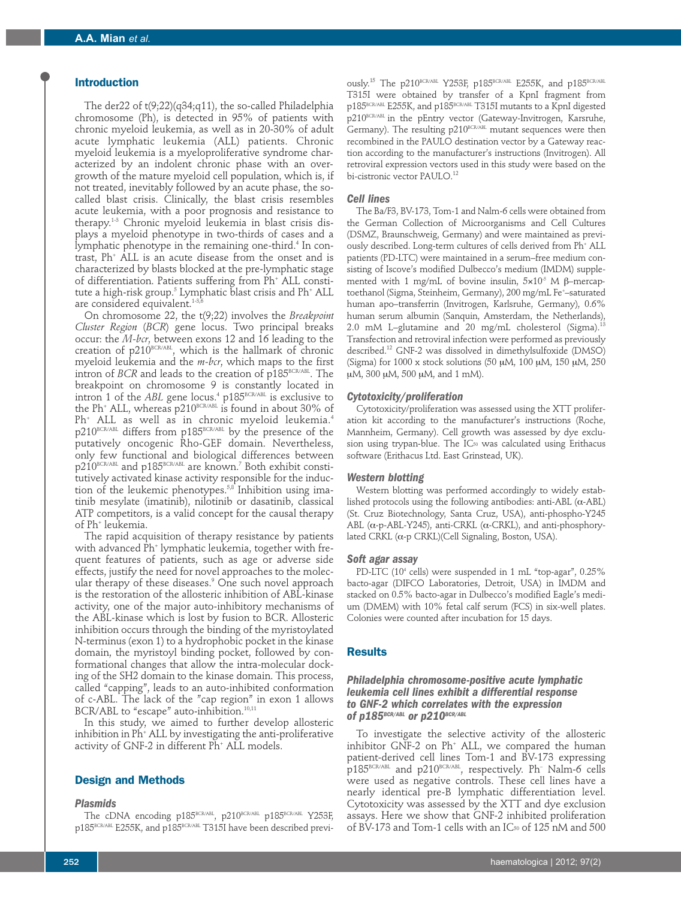## **Introduction**

The der22 of t(9;22)(q34;q11), the so-called Philadelphia chromosome (Ph), is detected in 95% of patients with chronic myeloid leukemia, as well as in 20-30% of adult acute lymphatic leukemia (ALL) patients. Chronic myeloid leukemia is a myeloproliferative syndrome characterized by an indolent chronic phase with an overgrowth of the mature myeloid cell population, which is, if not treated, inevitably followed by an acute phase, the socalled blast crisis. Clinically, the blast crisis resembles acute leukemia, with a poor prognosis and resistance to therapy. 1-3 Chronic myeloid leukemia in blast crisis displays a myeloid phenotype in two-thirds of cases and a lymphatic phenotype in the remaining one-third. <sup>4</sup> In contrast, Ph+ ALL is an acute disease from the onset and is characterized by blasts blocked at the pre-lymphatic stage of differentiation. Patients suffering from Ph+ ALL constitute a high-risk group. <sup>5</sup> Lymphatic blast crisis and Ph+ ALL are considered equivalent. 1-3,6

On chromosome 22, the t(9;22) involves the *Breakpoint Cluster Region* (*BCR*) gene locus. Two principal breaks occur: the *M-bcr*, between exons 12 and 16 leading to the creation of  $p210^{\text{\tiny{BCR/ABL}}}$ , which is the hallmark of chronic myeloid leukemia and the *m-bcr*, which maps to the first intron of *BCR* and leads to the creation of p185<sup>BCR/ABL</sup>. The breakpoint on chromosome 9 is constantly located in intron 1 of the *ABL* gene locus.<sup>4</sup> p185<sup>BCR/ABL</sup> is exclusive to the Ph<sup>+</sup> ALL, whereas  $p210^{BCR/ABL}$  is found in about 30% of Ph+ ALL as well as in chronic myeloid leukemia. 4 p210BCR/ABL differs from p185BCR/ABL by the presence of the putatively oncogenic Rho-GEF domain. Nevertheless, only few functional and biological differences between р $210^{\scriptscriptstyle\rm BCR/ABL}$  and p185 $^{\scriptscriptstyle\rm BCR/ABL}$  are known. $^7$  Both exhibit constitutively activated kinase activity responsible for the induction of the leukemic phenotypes. 5,8 Inhibition using imatinib mesylate (imatinib), nilotinib or dasatinib, classical ATP competitors, is a valid concept for the causal therapy of Ph+ leukemia.

The rapid acquisition of therapy resistance by patients with advanced Ph<sup>+</sup> lymphatic leukemia, together with frequent features of patients, such as age or adverse side effects, justify the need for novel approaches to the molecular therapy of these diseases. <sup>9</sup> One such novel approach is the restoration of the allosteric inhibition of ABL-kinase activity, one of the major auto-inhibitory mechanisms of the ABL-kinase which is lost by fusion to BCR. Allosteric inhibition occurs through the binding of the myristoylated N-terminus (exon 1) to a hydrophobic pocket in the kinase domain, the myristoyl binding pocket, followed by conformational changes that allow the intra-molecular docking of the SH2 domain to the kinase domain. This process, called "capping", leads to an auto-inhibited conformation of c-ABL. The lack of the "cap region" in exon 1 allows BCR/ABL to "escape" auto-inhibition.<sup>10,11</sup>

In this study, we aimed to further develop allosteric inhibition in Ph+ ALL by investigating the anti-proliferative activity of GNF-2 in different Ph<sup>+</sup> ALL models.

#### **Design and Methods**

#### *Plasmids*

The cDNA encoding p185 $^{_{\text{BCR/ABI}}},$  p210 $^{_{\text{BCR/ABL}}}$  p185 $^{_{\text{BCR/ABL}}}$  Y253F, p185BCR/ABL E255K, and p185BCR/ABL T315I have been described previ-

 $0.008$ ly.<sup>15</sup> The p210BCR/ABL Y253F, p185BCR/ABL E255K, and p185BCR/ABL T315I were obtained by transfer of a KpnI fragment from p185BCR/ABL E255K, and p185BCR/ABL T315I mutants to a KpnI digested  $p210^{BCR/ABL}$  in the pEntry vector (Gateway-Invitrogen, Karsruhe, Germany). The resulting p210<sup>BCR/ABL</sup> mutant sequences were then recombined in the PAULO destination vector by a Gateway reaction according to the manufacturer's instructions (Invitrogen). All retroviral expression vectors used in this study were based on the bi-cistronic vector PAULO.<sup>12</sup>

## *Cell lines*

The Ba/F3, BV-173, Tom-1 and Nalm-6 cells were obtained from the German Collection of Microorganisms and Cell Cultures (DSMZ, Braunschweig, Germany) and were maintained as previously described. Long-term cultures of cells derived from Ph<sup>+</sup> ALL patients (PD-LTC) were maintained in a serum–free medium consisting of Iscove's modified Dulbecco's medium (IMDM) supplemented with 1 mg/mL of bovine insulin,  $5 \times 10^{-5}$  M  $\beta$ –mercaptoethanol (Sigma, Steinheim, Germany), 200 mg/mL Fe\*–saturated human apo–transferrin (Invitrogen, Karlsruhe, Germany), 0.6% human serum albumin (Sanquin, Amsterdam, the Netherlands), 2.0 mM L–glutamine and 20 mg/mL cholesterol (Sigma). 13 Transfection and retroviral infection were performed as previously described. <sup>12</sup> GNF-2 was dissolved in dimethylsulfoxide (DMSO) (Sigma) for 1000 x stock solutions (50  $\mu$ M, 100  $\mu$ M, 150  $\mu$ M, 250 μM, 300 μM, 500 μM, and 1 mM).

#### *Cytotoxicity/proliferation*

Cytotoxicity/proliferation was assessed using the XTT proliferation kit according to the manufacturer's instructions (Roche, Mannheim, Germany). Cell growth was assessed by dye exclusion using trypan-blue. The IC<sub>50</sub> was calculated using Erithacus software (Erithacus Ltd. East Grinstead, UK).

#### *Western blotting*

Western blotting was performed accordingly to widely established protocols using the following antibodies: anti-ABL (α-ABL) (St. Cruz Biotechnology, Santa Cruz, USA), anti-phospho-Y245 ABL ( $α$ -p-ABL-Y245), anti-CRKL ( $α$ -CRKL), and anti-phosphorylated CRKL (α-p CRKL)(Cell Signaling, Boston, USA).

#### *Soft agar assay*

PD-LTC (10<sup>4</sup> cells) were suspended in 1 mL "top-agar", 0.25% bacto-agar (DIFCO Laboratories, Detroit, USA) in IMDM and stacked on 0.5% bacto-agar in Dulbecco's modified Eagle's medium (DMEM) with 10% fetal calf serum (FCS) in six-well plates. Colonies were counted after incubation for 15 days.

#### **Results**

## *Philadelphia chromosome-positive acute lymphatic leukemia cell lines exhibit a differential response to GNF-2 which correlates with the expression of p185BCR/ABL or p210BCR/ABL*

To investigate the selective activity of the allosteric inhibitor GNF-2 on Ph<sup>+</sup> ALL, we compared the human patient-derived cell lines Tom-1 and BV-173 expressing  $p185^{\text{\tiny BCRVABL}}$  and  $p210^{\text{\tiny BCRVABL}}$ , respectively. Ph<sup>-</sup> Nalm-6 cells were used as negative controls. These cell lines have a nearly identical pre-B lymphatic differentiation level. Cytotoxicity was assessed by the XTT and dye exclusion assays. Here we show that GNF-2 inhibited proliferation of BV-173 and Tom-1 cells with an IC<sub>50</sub> of 125 nM and 500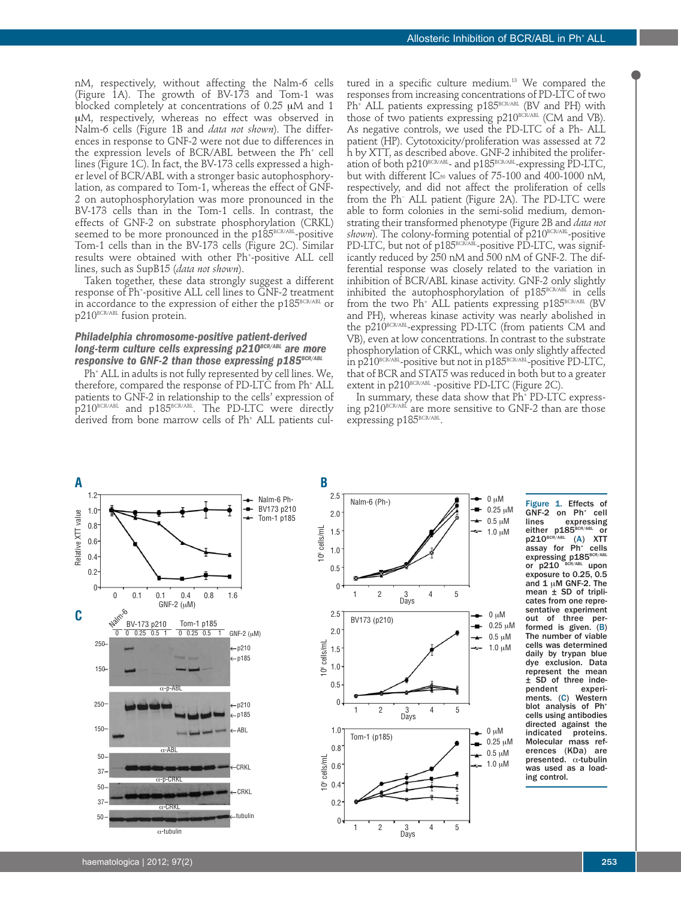nM, respectively, without affecting the Nalm-6 cells (Figure 1A). The growth of BV-173 and Tom-1 was blocked completely at concentrations of  $0.25 \mu M$  and 1 uM, respectively, whereas no effect was observed in Nalm-6 cells (Figure 1B and *data not shown*). The differences in response to GNF-2 were not due to differences in the expression levels of BCR/ABL between the Ph+ cell lines (Figure 1C). In fact, the BV-173 cells expressed a higher level of BCR/ABL with a stronger basic autophosphorylation, as compared to Tom-1, whereas the effect of GNF-2 on autophosphorylation was more pronounced in the BV-173 cells than in the Tom-1 cells. In contrast, the effects of GNF-2 on substrate phosphorylation (CRKL) seemed to be more pronounced in the p185 $^{\text{\tiny{BCR}/ABL}}$ -positive Tom-1 cells than in the BV-173 cells (Figure 2C). Similar results were obtained with other Ph+ -positive ALL cell lines, such as SupB15 (*data not shown*).

Taken together, these data strongly suggest a different response of Ph+ -positive ALL cell lines to GNF-2 treatment in accordance to the expression of either the p185<sup>BCR/ABL</sup> or p210<sup>BCR/ABL</sup> fusion protein.

## *Philadelphia chromosome-positive patient-derived long-term culture cells expressing p210BCR/ABL are more*  $r$ esponsive to GNF-2 than those expressing p185BCR/ABL

Ph+ ALL in adults is not fully represented by cell lines. We, therefore, compared the response of PD-LTC from Ph<sup>+</sup> ALL patients to GNF-2 in relationship to the cells' expression of p210BCR/ABL and p185BCR/ABL. The PD-LTC were directly derived from bone marrow cells of Ph+ ALL patients cul-

tured in a specific culture medium. <sup>13</sup> We compared the responses from increasing concentrations of PD-LTC of two Ph<sup>+</sup> ALL patients expressing p185<sup>BCR/ABL</sup> (BV and PH) with those of two patients expressing p210<sup>BCR/ABL</sup> (CM and VB). As negative controls, we used the PD-LTC of a Ph- ALL patient (HP). Cytotoxicity/proliferation was assessed at 72 h by XTT, as described above. GNF-2 inhibited the proliferation of both p210 $^{\text{\tiny{BCR/ABI}}\text{-}}$  and p185 $^{\text{\tiny{BCR/ABI}}\text{-}}$ expressing PD-LTC, but with different IC50 values of 75-100 and 400-1000 nM, respectively, and did not affect the proliferation of cells from the Ph– ALL patient (Figure 2A). The PD-LTC were able to form colonies in the semi-solid medium, demonstrating their transformed phenotype (Figure 2B and *data not* s*hown*). The colony-forming potential of p210<sup>BCR/ABL</sup>-positive PD-LTC, but not of p185<sup>вскляд</sup>-positive PD-LTC, was significantly reduced by 250 nM and 500 nM of GNF-2. The differential response was closely related to the variation in inhibition of BCR/ABL kinase activity. GNF-2 only slightly inhibited the autophosphorylation of  $p185^{BCR/ABL}$  in cells from the two  $Ph^+$  ALL patients expressing p185<sup>BCR/ABL</sup> (BV and PH), whereas kinase activity was nearly abolished in the p $210^{\text{\tiny{BCR/ABL}}}$ -expressing PD-LTC (from patients CM and VB), even at low concentrations. In contrast to the substrate phosphorylation of CRKL, which was only slightly affected in p210 $^{\text{\tiny{BCR/ABI}}}$ -positive but not in p185 $^{\text{\tiny{BCR/ABL}}}$ -positive PD-LTC, that of BCR and STAT5 was reduced in both but to a greater extent in p210<sup>BCR/ABL</sup> -positive PD-LTC (Figure 2C).

In summary, these data show that Ph<sup>+</sup> PD-LTC expressing  $p210^{BCR/ABL}$  are more sensitive to GNF-2 than are those expressing p185<sup>BCR/ABL</sup>.



Figure 1. Effects of  $GNF-2$  on  $Ph^+$  cell<br>lines expressing expressing either p185BCR/ABL or  $p210^{BCR/ABL}$  (A) XTT assay for  $Ph^+$  cells expressing p185<sup>BCR/ABL</sup> or p210 BCR/ABL upon or  $p210$ <sup>BCR/ABL</sup> upon<br>exposure to 0.25, 0.5 and  $1 \mu$ M GNF-2. The mean ± SD of triplicates from one representative experiment out of three performed is given. (B) The number of viable cells was determined daily by trypan blue dye exclusion. Data represent the mean  $±$  SD of three inde-<br>pendent experipendent ments. (C) Western blot analysis of Ph<sup>+</sup> cells using antibodies directed against the indicated proteins. Molecular mass references (KDa) are presented. α-tubulin was used as a loading control.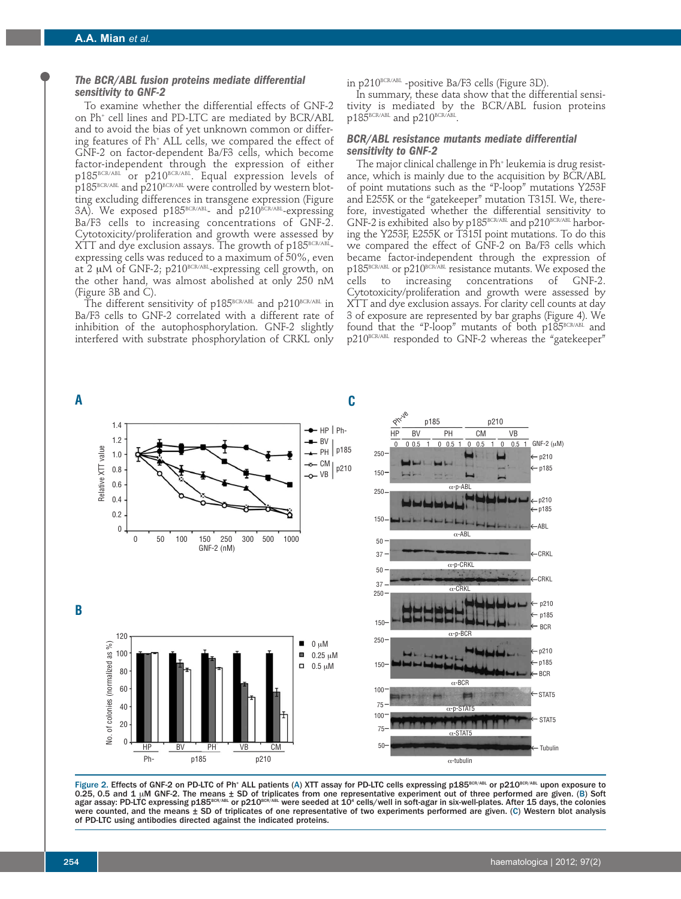## *The BCR/ABL fusion proteins mediate differential sensitivity to GNF-2*

To examine whether the differential effects of GNF-2 on Ph<sup>+</sup> cell lines and PD-LTC are mediated by BCR/ABL and to avoid the bias of yet unknown common or differing features of Ph+ ALL cells, we compared the effect of GNF-2 on factor-dependent Ba/F3 cells, which become factor-independent through the expression of either р $185^{\mu$ ск/авг ог р $210^{\mu}$ ск/авг. Equal expression levels of p185<sup>BCR/ABL</sup> and p210<sup>BCR/ABL</sup> were controlled by western blotting excluding differences in transgene expression (Figure 3A). We exposed p185<sup>BCR/ABL</sup>- and p210<sup>BCR/ABL</sup>-expressing Ba/F3 cells to increasing concentrations of GNF-2. Cytotoxicity/proliferation and growth were assessed by  ${\rm XTT}$  and dye exclusion assays. The growth of p185 $^{\rm BCRKABL}$ expressing cells was reduced to a maximum of 50%, even at 2  $\mu$ M of GNF-2; p210 $^{\text{\tiny{BCR/ABL}}}$ -expressing cell growth, on the other hand, was almost abolished at only 250 nM (Figure 3B and C).

The different sensitivity of  $p185^{BCR/ABL}$  and  $p210^{BCR/ABL}$  in Ba/F3 cells to GNF-2 correlated with a different rate of inhibition of the autophosphorylation. GNF-2 slightly interfered with substrate phosphorylation of CRKL only in p210<sup>BCR/ABL</sup> -positive Ba/F3 cells (Figure 3D).

In summary, these data show that the differential sensitivity is mediated by the BCR/ABL fusion proteins  $p185^{\scriptscriptstyle\mathrm{BCK/ABL}}$  and  $p210^{\scriptscriptstyle\mathrm{BCK/ABL}}.$ 

## *BCR/ABL resistance mutants mediate differential sensitivity to GNF-2*

The major clinical challenge in Ph<sup>+</sup> leukemia is drug resistance, which is mainly due to the acquisition by BCR/ABL of point mutations such as the "P-loop" mutations Y253F and E255K or the "gatekeeper" mutation T315I. We, therefore, investigated whether the differential sensitivity to GNF-2 is exhibited also by  $p185^{\text{\tiny{BCR/ABL}}}$  and  $p210^{\text{\tiny{BCR/ABL}}}$  harboring the Y253F, E255K or T315I point mutations. To do this we compared the effect of GNF-2 on Ba/F3 cells which became factor-independent through the expression of  $p185^{\scriptscriptstyle\rm BCR/ABL}$  or  $p210^{\scriptscriptstyle\rm BCR/ABL}$  resistance mutants. We exposed the cells to increasing concentrations of GNF-2. Cytotoxicity/proliferation and growth were assessed by XTT and dye exclusion assays. For clarity cell counts at day 3 of exposure are represented by bar graphs (Figure 4). We found that the "P-loop" mutants of both  $p185^{BCR/ABL}$  and p210BCR/ABL responded to GNF-2 whereas the "gatekeeper"



Figure 2. Effects of GNF-2 on PD-LTC of Ph<sup>+</sup> ALL patients (A) XTT assay for PD-LTC cells expressing p185<sup>BCR/ABL</sup> or p210BCR/ABL upon exposure to 0.25, 0.5 and 1 μM GNF-2. The means ± SD of triplicates from one representative experiment out of three performed are given. (Β) Soft<br>agar assay: PD-LTC expressing p185<sup>8cR/aBL</sup> or p210<sup>8cR/aBL</sup> were seeded at 10<sup>4</sup> cells were counted, and the means ± SD of triplicates of one representative of two experiments performed are given. (C) Western blot analysis of PD-LTC using antibodies directed against the indicated proteins.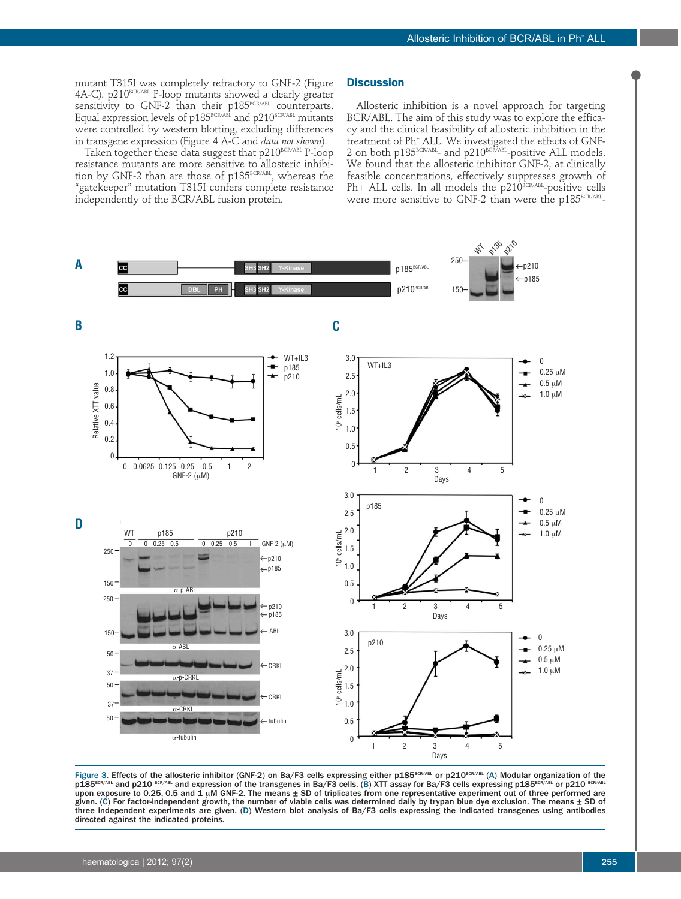mutant T315I was completely refractory to GNF-2 (Figure 4A-C). p210BCR/ABL P-loop mutants showed a clearly greater sensitivity to GNF-2 than their p185<sup>BCR/ABL</sup> counterparts. Equal expression levels of  $p185^{BCR/ABL}$  and  $p210^{BCR/ABL}$  mutants were controlled by western blotting, excluding differences in transgene expression (Figure 4 A-C and *data not shown*).

Taken together these data suggest that p210BCR/ABL P-loop resistance mutants are more sensitive to allosteric inhibition by GNF-2 than are those of p185 $^{\rm{BCR/ABL}}$ , whereas the "gatekeeper" mutation T315I confers complete resistance independently of the BCR/ABL fusion protein.

### **Discussion**

Allosteric inhibition is a novel approach for targeting BCR/ABL. The aim of this study was to explore the efficacy and the clinical feasibility of allosteric inhibition in the treatment of Ph+ ALL. We investigated the effects of GNF- $2$  on both p185 $^{\text{\tiny{BCR/ABL}}}$ - and p $210^{\text{\tiny{BCR/ABL}}}$ -positive ALL models. We found that the allosteric inhibitor GNF-2, at clinically feasible concentrations, effectively suppresses growth of <code>Ph+ ALL</code> cells. In all models the <code>p210</code><sup>BCR/ABL</sup>-positive cells were more sensitive to GNF-2 than were the  $p185^{\scriptscriptstyle\rm BCK/ABL}$ -



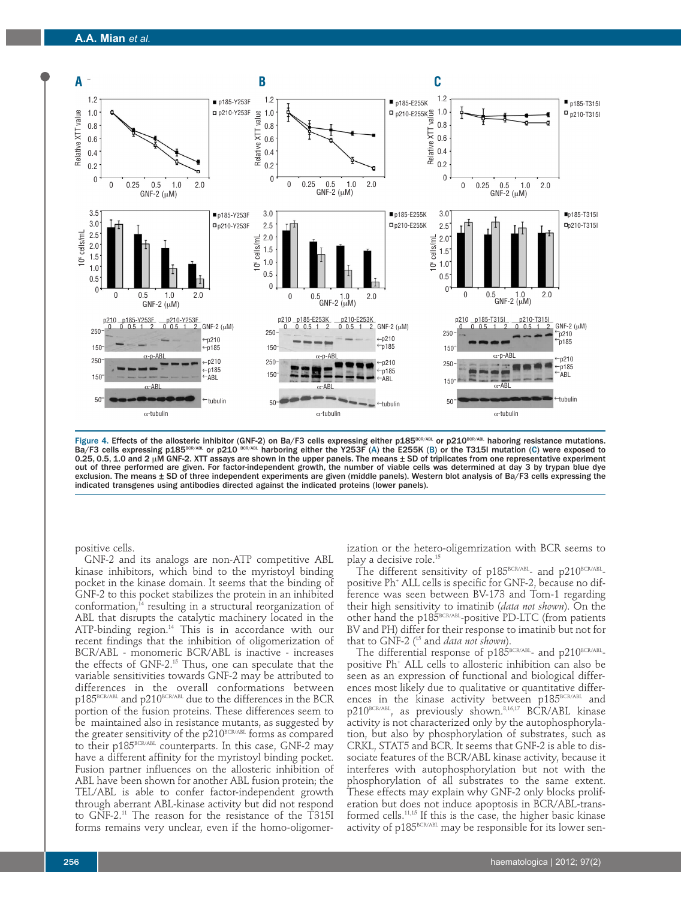

Figure 4. Effects of the allosteric inhibitor (GNF-2) on Ba/F3 cells expressing either p185<sup>BCR/ABL</sup> or p210<sup>BCR/ABL</sup> haboring resistance mutations. Ba/F3 cells expressing p185<sup>BCR/ABL</sup> or p210 <sup>BCR/ABL</sup> harboring either the Y253F (A) the E255K (B) or the T315I mutation (C) were exposed to 0.25, 0.5, 1.0 and 2 µM GNF-2. XTT assays are shown in the upper panels. The means ± SD of triplicates from one representative experiment out of three performed are given. For factor-independent growth, the number of viable cells was determined at day 3 by trypan blue dye exclusion. The means ± SD of three independent experiments are given (middle panels). Western blot analysis of Ba/F3 cells expressing the indicated transgenes using antibodies directed against the indicated proteins (lower panels).

positive cells.

GNF-2 and its analogs are non-ATP competitive ABL kinase inhibitors, which bind to the myristoyl binding pocket in the kinase domain. It seems that the binding of GNF-2 to this pocket stabilizes the protein in an inhibited conformation, $^{14}$  resulting in a structural reorganization of ABL that disrupts the catalytic machinery located in the ATP-binding region.<sup>14</sup> This is in accordance with our recent findings that the inhibition of oligomerization of BCR/ABL - monomeric BCR/ABL is inactive - increases the effects of GNF-2.15 Thus, one can speculate that the variable sensitivities towards GNF-2 may be attributed to differences in the overall conformations between p185BCR/ABL and p210BCR/ABL due to the differences in the BCR portion of the fusion proteins. These differences seem to be maintained also in resistance mutants, as suggested by the greater sensitivity of the  $p210^{BCR/ABL}$  forms as compared to their p185<sup>BCR/ABL</sup> counterparts. In this case, GNF-2 may have a different affinity for the myristoyl binding pocket. Fusion partner influences on the allosteric inhibition of ABL have been shown for another ABL fusion protein; the TEL/ABL is able to confer factor-independent growth through aberrant ABL-kinase activity but did not respond to GNF-2.11 The reason for the resistance of the T315I forms remains very unclear, even if the homo-oligomerization or the hetero-oligemrization with BCR seems to play a decisive role.15

The different sensitivity of  $p185^{\text{BCR/ABL}}$ - and  $p210^{\text{BCR/ABL}}$ positive Ph+ ALL cells is specific for GNF-2, because no difference was seen between BV-173 and Tom-1 regarding their high sensitivity to imatinib (*data not shown*). On the other hand the  $p185^{\text{\tiny BCR/ABL}}$ -positive PD-LTC (from patients BV and PH) differ for their response to imatinib but not for that to GNF-2 (15 and *data not shown*).

The differential response of p185BCR/ABL- and p210BCR/ABLpositive Ph+ ALL cells to allosteric inhibition can also be seen as an expression of functional and biological differences most likely due to qualitative or quantitative differences in the kinase activity between p185BCR/ABL and p210<sup>BCR/ABL</sup>, as previously shown.<sup>8,16,17</sup> BCR/ABL kinase activity is not characterized only by the autophosphorylation, but also by phosphorylation of substrates, such as CRKL, STAT5 and BCR. It seems that GNF-2 is able to dissociate features of the BCR/ABL kinase activity, because it interferes with autophosphorylation but not with the phosphorylation of all substrates to the same extent. These effects may explain why GNF-2 only blocks proliferation but does not induce apoptosis in BCR/ABL-transformed cells.<sup>11,15</sup> If this is the case, the higher basic kinase activity of p185<sup>BCR/ABL</sup> may be responsible for its lower sen